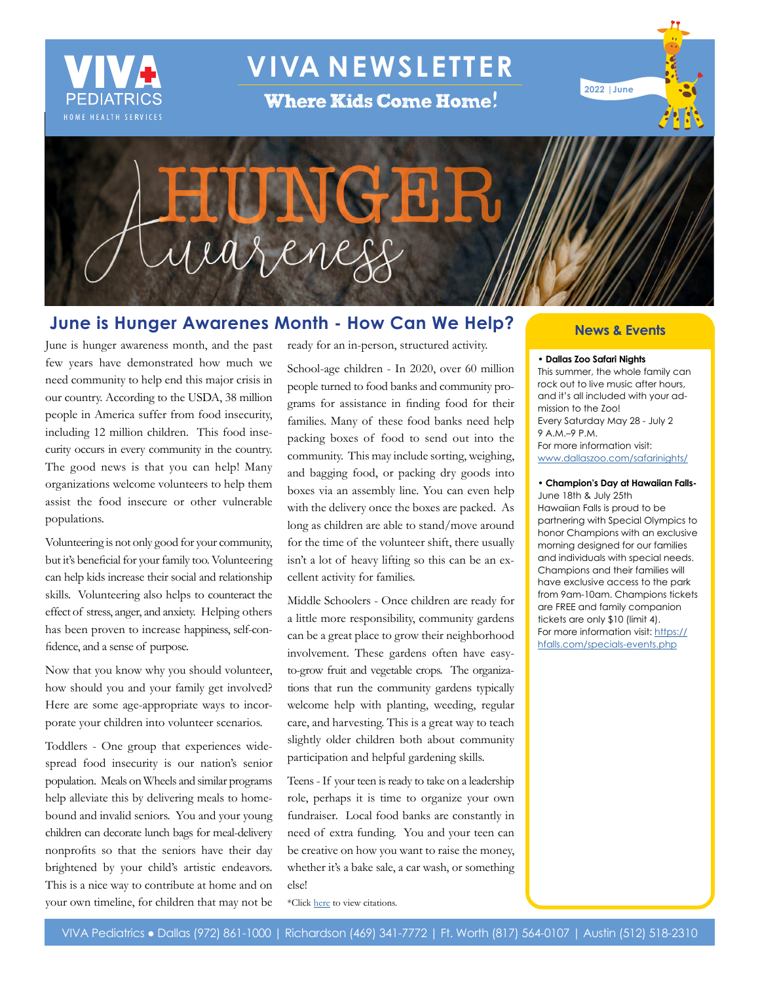

# **VIVA NEWSLETTER**

**Where Kids Come Home!** 





## **June is Hunger Awarenes Month - How Can We Help?**

June is hunger awareness month, and the past few years have demonstrated how much we need community to help end this major crisis in our country. According to the USDA, 38 million people in America suffer from food insecurity, including 12 million children. This food insecurity occurs in every community in the country. The good news is that you can help! Many organizations welcome volunteers to help them assist the food insecure or other vulnerable populations.

Volunteering is not only good for your community, but it's beneficial for your family too. Volunteering can help kids increase their social and relationship skills. Volunteering also helps to counteract the effect of stress, anger, and anxiety. Helping others has been proven to increase happiness, self-confidence, and a sense of purpose.

Now that you know why you should volunteer, how should you and your family get involved? Here are some age-appropriate ways to incorporate your children into volunteer scenarios.

Toddlers - One group that experiences widespread food insecurity is our nation's senior population. Meals on Wheels and similar programs help alleviate this by delivering meals to homebound and invalid seniors. You and your young children can decorate lunch bags for meal-delivery nonprofits so that the seniors have their day brightened by your child's artistic endeavors. This is a nice way to contribute at home and on your own timeline, for children that may not be

ready for an in-person, structured activity.

School-age children - In 2020, over 60 million people turned to food banks and community programs for assistance in finding food for their families. Many of these food banks need help packing boxes of food to send out into the community. This may include sorting, weighing, and bagging food, or packing dry goods into boxes via an assembly line. You can even help with the delivery once the boxes are packed. As long as children are able to stand/move around for the time of the volunteer shift, there usually isn't a lot of heavy lifting so this can be an excellent activity for families.

Middle Schoolers - Once children are ready for a little more responsibility, community gardens can be a great place to grow their neighborhood involvement. These gardens often have easyto-grow fruit and vegetable crops. The organizations that run the community gardens typically welcome help with planting, weeding, regular care, and harvesting. This is a great way to teach slightly older children both about community participation and helpful gardening skills.

Teens - If your teen is ready to take on a leadership role, perhaps it is time to organize your own fundraiser. Local food banks are constantly in need of extra funding. You and your teen can be creative on how you want to raise the money, whether it's a bake sale, a car wash, or something else!

\*Click [here](http://www.vivapeds.com/citations-june-2022-newsletter) to view citations.

#### **News & Events**

#### **• Dallas Zoo Safari Nights**

This summer, the whole family can rock out to live music after hours, and it's all included with your admission to the Zoo! Every Saturday May 28 - July 2 9 A.M.–9 P.M. For more information visit: [www.dallaszoo.com/safarinights/](http://www.dallaszoo.com/safarinights/ )

#### **• Champion's Day at Hawaiian Falls-**

June 18th & July 25th Hawaiian Falls is proud to be partnering with Special Olympics to honor Champions with an exclusive morning designed for our families and individuals with special needs. Champions and their families will have exclusive access to the park from 9am-10am. Champions tickets are FREE and family companion tickets are only \$10 (limit 4). For more information visit: [https://](https://hfalls.com/specials-events.php) [hfalls.com/specials-events.php](https://hfalls.com/specials-events.php)